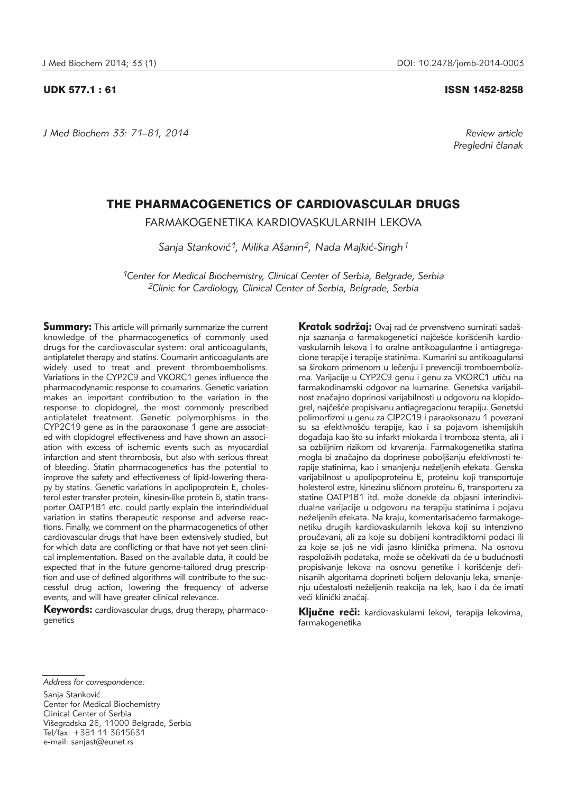*J Med Biochem 33: 71–81, 2014 Review article*

# UDK 577.1 : 61 ISSN 1452-8258

*Pregledni ~lanak*

# THE PHARMACOGENETICS OF CARDIOVASCULAR DRUGS

FARMAKOGENETIKA KARDIOVASKULARNIH LEKOVA

Sanja Stanković<sup>1</sup>, Milika Ašanin<sup>2</sup>, Nada Majkić-Singh<sup>1</sup>

*1Center for Medical Biochemistry, Clinical Center of Serbia, Belgrade, Serbia 2Clinic for Cardiology, Clinical Center of Serbia, Belgrade, Serbia*

**Summary:** This article will primarily summarize the current knowledge of the pharmacogenetics of commonly used drugs for the cardiovascular system: oral anticoagulants, antiplatelet therapy and statins. Coumarin anticoagulants are widely used to treat and prevent thromboembolisms. Variations in the CYP2C9 and VKORC1 genes influence the pharmacodynamic response to coumarins. Genetic variation makes an important contribution to the variation in the response to clopidogrel, the most commonly prescribed antiplatelet treatment. Genetic polymorphisms in the CYP2C19 gene as in the paraoxonase 1 gene are associated with clopidogrel effectiveness and have shown an association with excess of ischemic events such as myocardial infarction and stent thrombosis, but also with serious threat of bleeding. Statin pharmacogenetics has the potential to improve the safety and effectiveness of lipid-lowering therapy by statins. Genetic variations in apolipoprotein E, cholesterol ester transfer protein, kinesin-like protein 6, statin transporter OATP1B1 etc. could partly explain the interindividual variation in statins therapeutic response and adverse reactions. Finally, we comment on the pharmacogenetics of other cardiovascular drugs that have been extensively studied, but for which data are conflicting or that have not yet seen clinical implementation. Based on the available data, it could be expected that in the future genome-tailored drug prescription and use of defined algorithms will contribute to the successful drug action, lowering the frequency of adverse events, and will have greater clinical relevance.

**Keywords:** cardiovascular drugs, drug therapy, pharmacogenetics

Kratak sadržaj: Ovaj rad će prvenstveno sumirati sadašnja saznanja o farmakogenetici najčešće korišćenih kardiovaskularnih lekova i to oralne antikoagulantne i antiagregacione terapije i terapije statinima. Kumarini su antikoagulansi sa širokom primenom u lečenju i prevenciji tromboembolizma. Varijacije u CYP2C9 genu i genu za VKORC1 utiču na farmakodinamski odgovor na kumarine. Genetska varijabilnost značajno doprinosi varijabilnosti u odgovoru na klopidogrel, najčešće propisivanu antiagregacionu terapiju. Genetski polimorfizmi u genu za CIP2C19 i paraoksonazu 1 povezani su sa efektivnošću terapije, kao i sa pojavom ishemijskih događaja kao što su infarkt miokarda i tromboza stenta, ali i sa ozbiljnim rizikom od krvarenja. Farmakogenetika statina mogla bi značajno da doprinese poboljšanju efektivnosti terapije statinima, kao i smanjenju neželjenih efekata. Genska varijabilnost u apolipoproteinu E, proteinu koji transportuje holesterol estre, kinezinu sličnom proteinu 6, transporteru za statine OATP1B1 itd. može donekle da objasni interindividualne varijacije u odgovoru na terapiju statinima i pojavu neželjenih efekata. Na kraju, komentarisaćemo farmakogene tiku drugih kardiovaskularnih lekova koji su intenzivno proučavani, ali za koje su dobijeni kontradiktorni podaci ili za koje se još ne vidi jasno klinička primena. Na osnovu raspoloživih podataka, može se očekivati da će u budućnosti propisivanje lekova na osnovu genetike i korišćenje definisanih algoritama doprineti boljem delovanju leka, smanje nju učestalosti neželjenih reakcija na lek, kao i da će imati veći klinički značaj.

Ključne reči: kardiovaskularni lekovi, terapija lekovima, farmakogenetika

*Address for correspondence:*

Sanja Stanković

Center for Medical Biochemistry Clinical Center of Serbia Višegradska 26, 11000 Belgrade, Serbia Tel/fax: +381 11 3615631 e-mail: sanjast@eunet.rs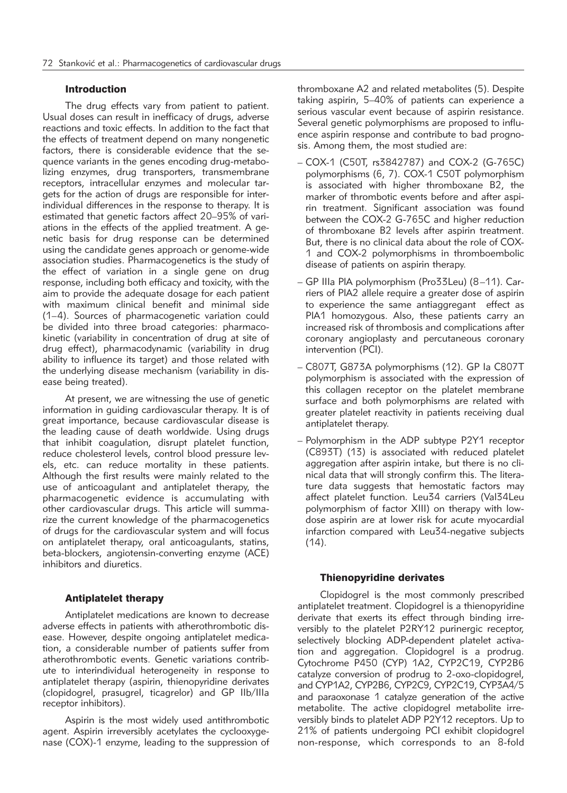# Introduction

The drug effects vary from patient to patient. Usual doses can result in inefficacy of drugs, adverse reactions and toxic effects. In addition to the fact that the effects of treatment depend on many nongenetic factors, there is considerable evidence that the sequence variants in the genes encoding drug-metabolizing enzymes, drug transporters, transmembrane receptors, intracellular enzymes and molecular targets for the action of drugs are responsible for interindividual differences in the response to therapy. It is estimated that genetic factors affect 20–95% of variations in the effects of the applied treatment. A genetic basis for drug response can be determined using the candidate genes approach or genome-wide association studies. Pharmacogenetics is the study of the effect of variation in a single gene on drug response, including both efficacy and toxicity, with the aim to provide the adequate dosage for each patient with maximum clinical benefit and minimal side (1–4). Sources of pharmacogenetic variation could be divided into three broad categories: pharmacokinetic (variability in concentration of drug at site of drug effect), pharmacodynamic (variability in drug ability to influence its target) and those related with the underlying disease mechanism (variability in disease being treated).

At present, we are witnessing the use of genetic information in guiding cardiovascular therapy. It is of great importance, because cardiovascular disease is the leading cause of death worldwide. Using drugs that inhibit coagulation, disrupt platelet function, reduce cholesterol levels, control blood pressure levels, etc. can reduce mortality in these patients. Although the first results were mainly related to the use of anticoagulant and antiplatelet therapy, the pharmacogenetic evidence is accumulating with other cardiovascular drugs. This article will summarize the current knowledge of the pharmacogenetics of drugs for the cardiovascular system and will focus on antiplatelet therapy, oral anticoagulants, statins, beta-blockers, angiotensin-converting enzyme (ACE) inhibitors and diuretics.

# Antiplatelet therapy

Antiplatelet medications are known to decrease adverse effects in patients with atherothrombotic disease. However, despite ongoing antiplatelet medication, a considerable number of patients suffer from atherothrombotic events. Genetic variations contribute to interindividual heterogeneity in response to antiplatelet therapy (aspirin, thienopyridine derivates (clopidogrel, prasugrel, ticagrelor) and GP IIb/IIIa receptor inhibitors).

Aspirin is the most widely used antithrombotic agent. Aspirin irreversibly acetylates the cyclooxygenase (COX)-1 enzyme, leading to the suppression of

thromboxane A2 and related metabolites (5). Despite taking aspirin, 5–40% of patients can experience a serious vascular event because of aspirin resistance. Several genetic polymorphisms are proposed to influence aspirin response and contribute to bad prognosis. Among them, the most studied are:

- COX-1 (C50T, rs3842787) and COX-2 (G-765C) polymorphisms (6, 7). COX-1 C50T polymorphism is associated with higher thromboxane B2, the marker of thrombotic events before and after aspirin treatment. Significant association was found between the COX-2 G-765C and higher reduction of thromboxane B2 levels after aspirin treatment. But, there is no clinical data about the role of COX-1 and COX-2 polymorphisms in thromboembolic disease of patients on aspirin therapy.
- GP IIIa PIA polymorphism (Pro33Leu) (8–11). Carriers of PlA2 allele require a greater dose of aspirin to experience the same antiaggregant effect as PlA1 homozygous. Also, these patients carry an increased risk of thrombosis and complications after coronary angioplasty and percutaneous coronary intervention (PCI).
- C807T, G873A polymorphisms (12). GP Ia C807T polymorphism is associated with the expression of this collagen receptor on the platelet membrane surface and both polymorphisms are related with greater platelet reactivity in patients receiving dual antiplatelet therapy.
- Polymorphism in the ADP subtype P2Y1 receptor (C893T) (13) is associated with reduced platelet aggregation after aspirin intake, but there is no clinical data that will strongly confirm this. The literature data suggests that hemostatic factors may affect platelet function. Leu34 carriers (Val34Leu polymorphism of factor XIII) on therapy with lowdose aspirin are at lower risk for acute myocardial infarction compared with Leu34-negative subjects  $(14)$ .

## Thienopyridine derivates

Clopidogrel is the most commonly prescribed antiplatelet treatment. Clopidogrel is a thienopyridine derivate that exerts its effect through binding irreversibly to the platelet P2RY12 purinergic receptor, selectively blocking ADP-dependent platelet activation and aggregation. Clopidogrel is a prodrug. Cytochrome P450 (CYP) 1A2, CYP2C19, CYP2B6 catalyze conversion of prodrug to 2-oxo-clopidogrel, and CYP1A2, CYP2B6, CYP2C9, CYP2C19, CYP3A4/5 and paraoxonase 1 catalyze generation of the active metabolite. The active clopidogrel metabolite irreversibly binds to platelet ADP P2Y12 receptors. Up to 21% of patients undergoing PCI exhibit clopidogrel non-response, which corresponds to an 8-fold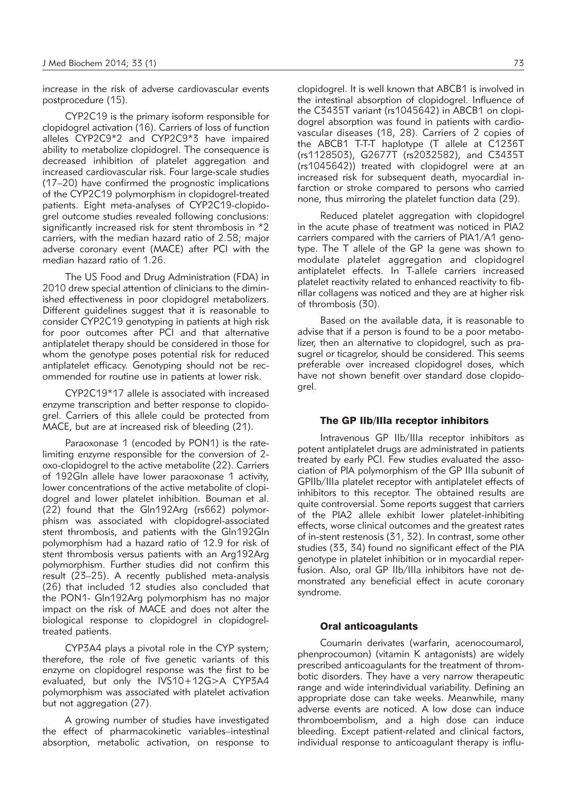increase in the risk of adverse cardiovascular events postprocedure (15).

CYP2C19 is the primary isoform responsible for clopidogrel activation (16). Carriers of loss of function alleles CYP2C9\*2 and CYP2C9\*3 have impaired ability to metabolize clopidogrel. The consequence is decreased inhibition of platelet aggregation and increased cardiovascular risk. Four large-scale studies (17–20) have confirmed the prognostic implications of the CYP2C19 polymorphism in clopidogrel-treated patients. Eight meta-analyses of CYP2C19-clopidogrel outcome studies revealed following conclusions: significantly increased risk for stent thrombosis in \*2 carriers, with the median hazard ratio of 2.58; major adverse coronary event (MACE) after PCI with the median hazard ratio of 1.26.

The US Food and Drug Administration (FDA) in 2010 drew special attention of clinicians to the diminished effectiveness in poor clopidogrel metabolizers. Different guidelines suggest that it is reasonable to consider CYP2C19 genotyping in patients at high risk for poor outcomes after PCI and that alternative antiplatelet therapy should be considered in those for whom the genotype poses potential risk for reduced antiplatelet efficacy. Genotyping should not be recommended for routine use in patients at lower risk.

CYP2C19\*17 allele is associated with increased enzyme transcription and better response to clopidogrel. Carriers of this allele could be protected from MACE, but are at increased risk of bleeding (21).

Paraoxonase 1 (encoded by PON1) is the ratelimiting enzyme responsible for the conversion of 2 oxo-clopidogrel to the active metabolite (22). Carriers of 192Gln allele have lower paraoxonase 1 activity, lower concentrations of the active metabolite of clopidogrel and lower platelet inhibition. Bouman et al. (22) found that the Gln192Arg (rs662) polymorphism was associated with clopidogrel-associated stent thrombosis, and patients with the Gln192Gln polymorphism had a hazard ratio of 12.9 for risk of stent thrombosis versus patients with an Arg192Arg polymorphism. Further studies did not confirm this result (23–25). A recently published meta-analysis (26) that included 12 studies also concluded that the PON1- Gln192Arg polymorphism has no major impact on the risk of MACE and does not alter the biological response to clopidogrel in clopidogreltreated patients.

CYP3A4 plays a pivotal role in the CYP system; therefore, the role of five genetic variants of this enzyme on clopidogrel response was the first to be evaluated, but only the IVS10+12G>A CYP3A4 poly morphism was associated with platelet activation but not aggregation (27).

A growing number of studies have investigated the effect of pharmacokinetic variables–intestinal absorption, metabolic activation, on response to clopidogrel. It is well known that ABCB1 is involved in the intestinal absorption of clopidogrel. Influence of the C3435T variant (rs1045642) in ABCB1 on clopidogrel absorption was found in patients with cardiovascular diseases (18, 28). Carriers of 2 copies of the ABCB1 T-T-T haplotype (T allele at C1236T (rs1128503), G2677T (rs2032582), and C3435T (rs1045642)) treated with clopidogrel were at an increased risk for subsequent death, myocardial infarction or stroke compared to persons who carried none, thus mirroring the platelet function data (29).

Reduced platelet aggregation with clopidogrel in the acute phase of treatment was noticed in PlA2 carriers compared with the carriers of PlA1/A1 genotype. The T allele of the GP Ia gene was shown to modulate platelet aggregation and clopidogrel antiplatelet effects. In T-allele carriers increased platelet reactivity related to enhanced reactivity to fibrillar collagens was noticed and they are at higher risk of thrombosis (30).

Based on the available data, it is reasonable to advise that if a person is found to be a poor metabolizer, then an alternative to clopidogrel, such as prasugrel or ticagrelor, should be considered. This seems preferable over increased clopidogrel doses, which have not shown benefit over standard dose clopidogrel.

# The GP IIb/IIIa receptor inhibitors

Intravenous GP IIb/IIIa receptor inhibitors as potent antiplatelet drugs are administrated in patients treated by early PCI. Few studies evaluated the association of PlA polymorphism of the GP IIIa subunit of GPIIb/IIIa platelet receptor with antiplatelet effects of inhibitors to this receptor. The obtained results are quite controversial. Some reports suggest that carriers of the PlA2 allele exhibit lower platelet-inhibiting effects, worse clinical outcomes and the greatest rates of in-stent restenosis (31, 32). In contrast, some other studies (33, 34) found no significant effect of the PlA genotype in platelet inhibition or in myocardial reperfusion. Also, oral GP IIb/IIIa inhibitors have not demonstrated any beneficial effect in acute coronary syndrome.

### Oral anticoagulants

Coumarin derivates (warfarin, acenocoumarol, phenprocoumon) (vitamin K antagonists) are widely prescribed anticoagulants for the treatment of thrombotic disorders. They have a very narrow therapeutic range and wide interindividual variability. Defining an appropriate dose can take weeks. Meanwhile, many adverse events are noticed. A low dose can induce thromboembolism, and a high dose can induce bleeding. Except patient-related and clinical factors, individual response to anticoagulant therapy is influ-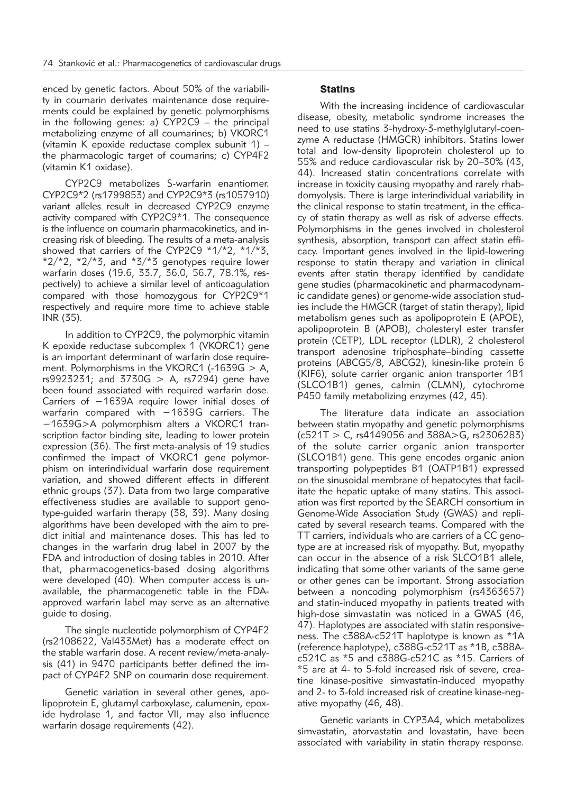enced by genetic factors. About 50% of the variability in coumarin derivates maintenance dose requirements could be explained by genetic polymorphisms in the following genes: a) CYP2C9 – the principal metabolizing enzyme of all coumarines; b) VKORC1 (vitamin K epoxide reductase complex subunit 1) – the pharmacologic target of coumarins; c) CYP4F2 (vitamin K1 oxidase).

CYP2C9 metabolizes S-warfarin enantiomer. CYP2C9\*2 (rs1799853) and CYP2C9\*3 (rs1057910) variant alleles result in decreased CYP2C9 enzyme activity compared with CYP2C9\*1. The consequence is the influence on coumarin pharmacokinetics, and increasing risk of bleeding. The results of a meta-analysis showed that carriers of the CYP2C9 \*1/\*2, \*1/\*3,  $*2/*2$ ,  $*2/*3$ , and  $*3/*3$  genotypes require lower warfarin doses (19.6, 33.7, 36.0, 56.7, 78.1%, respectively) to achieve a similar level of anticoagulation compared with those homozygous for CYP2C9\*1 respectively and require more time to achieve stable INR (35).

In addition to CYP2C9, the polymorphic vitamin K epoxide reductase subcomplex 1 (VKORC1) gene is an important determinant of warfarin dose requirement. Polymorphisms in the VKORC1 (-1639G > A, rs9923231; and 3730G > A, rs7294) gene have been found associated with required warfarin dose. Carriers of −1639A require lower initial doses of warfarin compared with −1639G carriers. The −1639G>A polymorphism alters a VKORC1 transcription factor binding site, leading to lower protein expression (36). The first meta-analysis of 19 studies confirmed the impact of VKORC1 gene polymorphism on interindividual warfarin dose requirement variation, and showed different effects in different ethnic groups (37). Data from two large comparative effectiveness studies are available to support genotype-guided warfarin therapy (38, 39). Many dosing algorithms have been developed with the aim to predict initial and maintenance doses. This has led to changes in the warfarin drug label in 2007 by the FDA and introduction of dosing tables in 2010. After that, pharmacogenetics-based dosing algorithms were developed (40). When computer access is unavailable, the pharmacogenetic table in the FDAapproved warfarin label may serve as an alternative guide to dosing.

The single nucleotide polymorphism of CYP4F2 (rs2108622, Val433Met) has a moderate effect on the stable warfarin dose. A recent review/meta-analysis (41) in 9470 participants better defined the impact of CYP4F2 SNP on coumarin dose requirement.

Genetic variation in several other genes, apolipoprotein E, glutamyl carboxylase, calumenin, epoxide hydrolase 1, and factor VII, may also influence warfarin dosage requirements (42).

# **Statins**

With the increasing incidence of cardiovascular disease, obesity, metabolic syndrome increases the need to use statins 3-hydroxy-3-methylglutaryl-coenzyme A reductase (HMGCR) inhibitors. Statins lower total and low-density lipoprotein cholesterol up to 55% and reduce cardiovascular risk by 20-30% (43, 44). Increased statin concentrations correlate with increase in toxicity causing myopathy and rarely rhabdomyolysis. There is large interindividual variability in the clinical response to statin treatment, in the efficacy of statin therapy as well as risk of adverse effects. Polymorphisms in the genes involved in cholesterol synthesis, absorption, transport can affect statin efficacy. Important genes involved in the lipid-lowering response to statin therapy and variation in clinical events after statin therapy identified by candidate gene studies (pharmacokinetic and pharmacodynamic candidate genes) or genome-wide association studies include the HMGCR (target of statin therapy), lipid metabolism genes such as apolipoprotein E (APOE), apolipoprotein B (APOB), cholesteryl ester transfer protein (CETP), LDL receptor (LDLR), 2 cholesterol transport adenosine triphosphate–binding cassette proteins (ABCG5/8, ABCG2), kinesin-like protein 6 (KIF6), solute carrier organic anion transporter 1B1 (SLCO1B1) genes, calmin (CLMN), cytochrome P450 family metabolizing enzymes (42, 45).

The literature data indicate an association between statin myopathy and genetic polymorphisms  $(c521T > C, rs4149056, and 388A > G, rs2306283)$ of the solute carrier organic anion transporter (SLCO1B1) gene. This gene encodes organic anion transporting polypeptides B1 (OATP1B1) expressed on the sinusoidal membrane of hepatocytes that facilitate the hepatic uptake of many statins. This association was first reported by the SEARCH consortium in Genome-Wide Association Study (GWAS) and replicated by several research teams. Compared with the TT carriers, individuals who are carriers of a CC genotype are at increased risk of myopathy. But, myopathy can occur in the absence of a risk SLCO1B1 allele, indicating that some other variants of the same gene or other genes can be important. Strong association between a noncoding polymorphism (rs4363657) and statin-induced myopathy in patients treated with high-dose simvastatin was noticed in a GWAS (46, 47). Haplotypes are associated with statin responsiveness. The c388A-c521T haplotype is known as \*1A (reference haplotype), c388G-c521T as \*1B, c388Ac521C as \*5 and c388G-c521C as \*15. Carriers of \*5 are at 4- to 5-fold increased risk of severe, creatine kinase-positive simvastatin-induced myopathy and 2- to 3-fold increased risk of creatine kinase-negative myopathy (46, 48).

Genetic variants in CYP3A4, which metabolizes simvastatin, atorvastatin and lovastatin, have been associated with variability in statin therapy response.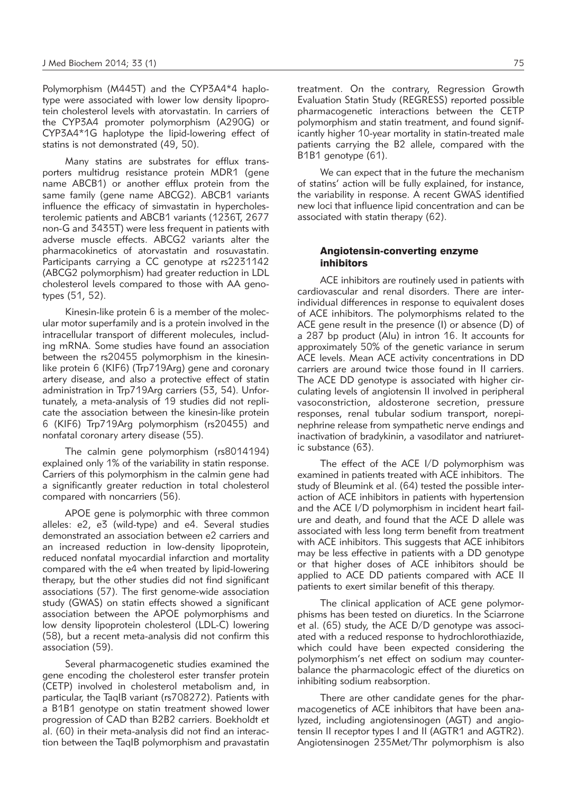Polymorphism (M445T) and the CYP3A4\*4 haplotype were associated with lower low density lipoprotein cholesterol levels with atorvastatin. In carriers of the CYP3A4 promoter polymorphism (A290G) or CYP3A4\*1G haplotype the lipid-lowering effect of statins is not demonstrated (49, 50).

Many statins are substrates for efflux transporters multidrug resistance protein MDR1 (gene name ABCB1) or another efflux protein from the same family (gene name ABCG2). ABCB1 variants influence the efficacy of simvastatin in hypercholesterolemic patients and ABCB1 variants (1236T, 2677 non-G and 3435T) were less frequent in patients with adverse muscle effects. ABCG2 variants alter the pharmacokinetics of atorvastatin and rosuvastatin. Participants carrying a CC genotype at rs2231142 (ABCG2 polymorphism) had greater reduction in LDL cholesterol levels compared to those with AA genotypes (51, 52).

Kinesin-like protein 6 is a member of the molecular motor superfamily and is a protein involved in the intracellular transport of different molecules, including mRNA. Some studies have found an association between the rs20455 polymorphism in the kinesinlike protein 6 (KIF6) (Trp719Arg) gene and coronary artery disease, and also a protective effect of statin administration in Trp719Arg carriers (53, 54). Unfortunately, a meta-analysis of 19 studies did not replicate the association between the kinesin-like protein 6 (KIF6) Trp719Arg polymorphism (rs20455) and nonfatal coronary artery disease (55).

The calmin gene polymorphism (rs8014194) explained only 1% of the variability in statin response. Carriers of this polymorphism in the calmin gene had a significantly greater reduction in total cholesterol compared with noncarriers (56).

APOE gene is polymorphic with three common alleles: e2, e3 (wild-type) and e4. Several studies demonstrated an association between e2 carriers and an increased reduction in low-density lipoprotein, reduced nonfatal myocardial infarction and mortality compared with the e4 when treated by lipid-lowering therapy, but the other studies did not find significant associations (57). The first genome-wide association study (GWAS) on statin effects showed a significant association between the APOE polymorphisms and low density lipoprotein cholesterol (LDL-C) lowering (58), but a recent meta-analysis did not confirm this association (59).

Several pharmacogenetic studies examined the gene encoding the cholesterol ester transfer protein (CETP) involved in cholesterol metabolism and, in particular, the TaqIB variant (rs708272). Patients with a B1B1 genotype on statin treatment showed lower progression of CAD than B2B2 carriers. Boekholdt et al. (60) in their meta-analysis did not find an interaction between the TaqIB polymorphism and pravastatin

treatment. On the contrary, Regression Growth Evaluation Statin Study (REGRESS) reported possible pharmacogenetic interactions between the CETP polymorphism and statin treatment, and found significantly higher 10-year mortality in statin-treated male patients carrying the B2 allele, compared with the B1B1 genotype (61).

We can expect that in the future the mechanism of statins' action will be fully explained, for instance, the variability in response. A recent GWAS identified new loci that influence lipid concentration and can be associated with statin therapy (62).

## Angiotensin-converting enzyme inhibitors

ACE inhibitors are routinely used in patients with cardiovascular and renal disorders. There are interindividual differences in response to equivalent doses of ACE inhibitors. The polymorphisms related to the ACE gene result in the presence (I) or absence (D) of a 287 bp product (Alu) in intron 16. It accounts for approximately 50% of the genetic variance in serum ACE levels. Mean ACE activity concentrations in DD carriers are around twice those found in II carriers. The ACE DD genotype is associated with higher circulating levels of angiotensin II involved in peripheral vasoconstriction, aldosterone secretion, pressure responses, renal tubular sodium transport, norepinephrine release from sympathetic nerve endings and inactivation of bradykinin, a vasodilator and natriuretic substance (63).

The effect of the ACE I/D polymorphism was examined in patients treated with ACE inhibitors. The study of Bleumink et al. (64) tested the possible interaction of ACE inhibitors in patients with hypertension and the ACE I/D polymorphism in incident heart failure and death, and found that the ACE D allele was associated with less long term benefit from treatment with ACE inhibitors. This suggests that ACE inhibitors may be less effective in patients with a DD genotype or that higher doses of ACE inhibitors should be applied to ACE DD patients compared with ACE II patients to exert similar benefit of this therapy.

The clinical application of ACE gene polymorphisms has been tested on diuretics. In the Sciarrone et al. (65) study, the ACE D/D genotype was associated with a reduced response to hydrochlorothiazide, which could have been expected considering the polymorphism's net effect on sodium may counterbalance the pharmacologic effect of the diuretics on inhibiting sodium reabsorption.

There are other candidate genes for the pharmacogenetics of ACE inhibitors that have been analyzed, including angiotensinogen (AGT) and angiotensin II receptor types I and II (AGTR1 and AGTR2). Angiotensinogen 235Met/Thr polymorphism is also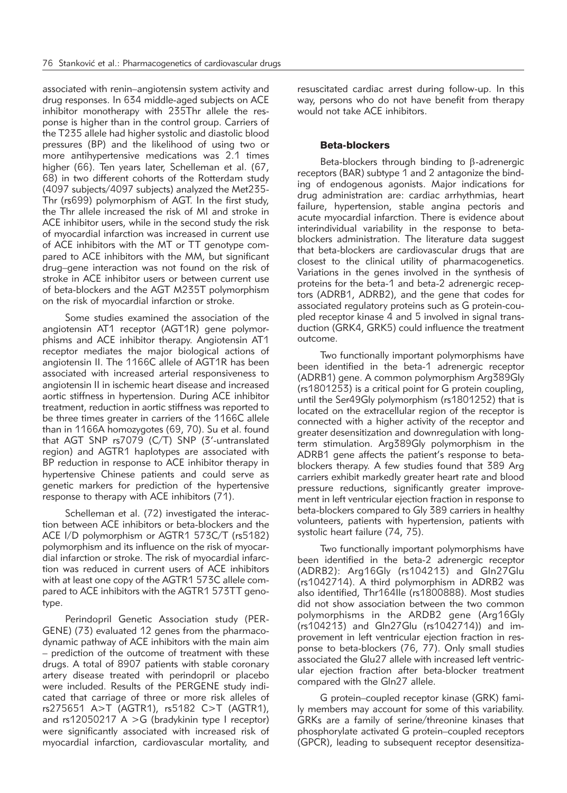associated with renin–angiotensin system activity and drug responses. In 634 middle-aged subjects on ACE inhibitor monotherapy with 235Thr allele the response is higher than in the control group. Carriers of the T235 allele had higher systolic and diastolic blood pressures (BP) and the likelihood of using two or more antihypertensive medications was 2.1 times higher (66). Ten years later, Schelleman et al. (67, 68) in two different cohorts of the Rotterdam study (4097 subjects/4097 subjects) analyzed the Met235-Thr (rs699) polymorphism of AGT. In the first study, the Thr allele increased the risk of MI and stroke in ACE inhibitor users, while in the second study the risk of myocardial infarction was increased in current use of ACE inhibitors with the MT or TT genotype compared to ACE inhibitors with the MM, but significant drug–gene interaction was not found on the risk of stroke in ACE inhibitor users or between current use of beta-blockers and the AGT M235T polymorphism on the risk of myocardial infarction or stroke.

Some studies examined the association of the angiotensin AT1 receptor (AGT1R) gene polymorphisms and ACE inhibitor therapy. Angiotensin AT1 receptor mediates the major biological actions of angiotensin II. The 1166C allele of AGT1R has been associated with increased arterial responsiveness to angiotensin II in ischemic heart disease and increased aortic stiffness in hypertension. During ACE inhibitor treatment, reduction in aortic stiffness was reported to be three times greater in carriers of the 1166C allele than in 1166A homozygotes (69, 70). Su et al. found that AGT SNP rs7079 (C/T) SNP (3'-untranslated region) and AGTR1 haplotypes are associated with BP reduction in response to ACE inhibitor therapy in hypertensive Chinese patients and could serve as genetic markers for prediction of the hypertensive response to therapy with ACE inhibitors (71).

Schelleman et al. (72) investigated the interaction between ACE inhibitors or beta-blockers and the ACE I/D polymorphism or AGTR1 573C/T (rs5182) polymorphism and its influence on the risk of myocardial infarction or stroke. The risk of myocardial infarction was reduced in current users of ACE inhibitors with at least one copy of the AGTR1 573C allele compared to ACE inhibitors with the AGTR1 573TT genotype.

Perindopril Genetic Association study (PER-GENE) (73) evaluated 12 genes from the pharmacodynamic pathway of ACE inhibitors with the main aim – prediction of the outcome of treatment with these drugs. A total of 8907 patients with stable coronary artery disease treated with perindopril or placebo were included. Results of the PERGENE study indicated that carriage of three or more risk alleles of rs275651 A>T (AGTR1), rs5182 C>T (AGTR1), and  $rs12050217$  A  $>$ G (bradykinin type I receptor) were significantly associated with increased risk of myocardial infarction, cardiovascular mortality, and

resuscitated cardiac arrest during follow-up. In this way, persons who do not have benefit from therapy would not take ACE inhibitors.

# Beta-blockers

Beta-blockers through binding to  $\beta$ -adrenergic receptors (BAR) subtype 1 and 2 antagonize the binding of endogenous agonists. Major indications for drug administration are: cardiac arrhythmias, heart failure, hypertension, stable angina pectoris and acute myocardial infarction. There is evidence about interindividual variability in the response to betablockers administration. The literature data suggest that beta-blockers are cardiovascular drugs that are closest to the clinical utility of pharmacogenetics. Variations in the genes involved in the synthesis of proteins for the beta-1 and beta-2 adrenergic receptors (ADRB1, ADRB2), and the gene that codes for associated regulatory proteins such as G protein-coupled receptor kinase 4 and 5 involved in signal transduction (GRK4, GRK5) could influence the treatment outcome.

Two functionally important polymorphisms have been identified in the beta-1 adrenergic receptor (ADRB1) gene. A common polymorphism Arg389Gly (rs1801253) is a critical point for G protein coupling, until the Ser49Gly polymorphism (rs1801252) that is located on the extracellular region of the receptor is connected with a higher activity of the receptor and greater desensitization and downregulation with longterm stimulation. Arg389Gly polymorphism in the ADRB1 gene affects the patient's response to betablockers therapy. A few studies found that 389 Arg carriers exhibit markedly greater heart rate and blood pressure reductions, significantly greater improvement in left ventricular ejection fraction in response to beta-blockers compared to Gly 389 carriers in healthy volunteers, patients with hypertension, patients with systolic heart failure (74, 75).

Two functionally important polymorphisms have been identified in the beta-2 adrenergic receptor (ADRB2): Arg16Gly (rs104213) and Gln27Glu (rs1042714). A third polymorphism in ADRB2 was also identified, Thr164Ile (rs1800888). Most studies did not show association between the two common polymorphisms in the ARDB2 gene (Arg16Gly (rs104213) and Gln27Glu (rs1042714)) and im provement in left ventricular ejection fraction in response to beta-blockers (76, 77). Only small studies associated the Glu27 allele with increased left ventricular ejection fraction after beta-blocker treatment compared with the Gln27 allele.

G protein–coupled receptor kinase (GRK) family members may account for some of this variability. GRKs are a family of serine/threonine kinases that phosphorylate activated G protein–coupled receptors (GPCR), leading to subsequent receptor desensitiza-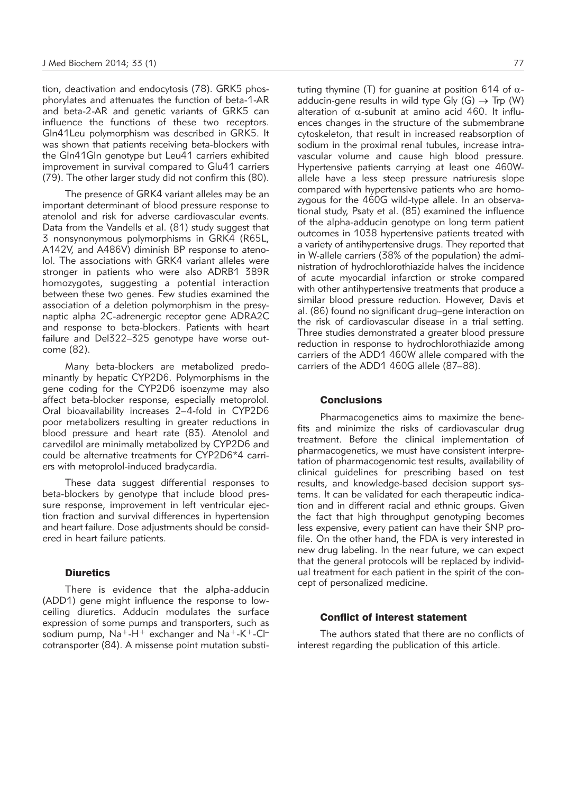tion, deactivation and endocytosis (78). GRK5 phosphorylates and attenuates the function of beta-1-AR and beta-2-AR and genetic variants of GRK5 can influence the functions of these two receptors. Gln41Leu polymorphism was described in GRK5. It was shown that patients receiving beta-blockers with the Gln41Gln genotype but Leu41 carriers exhibited improvement in survival compared to Glu41 carriers (79). The other larger study did not confirm this (80).

The presence of GRK4 variant alleles may be an important determinant of blood pressure response to atenolol and risk for adverse cardiovascular events. Data from the Vandells et al. (81) study suggest that 3 nonsynonymous polymorphisms in GRK4 (R65L, A142V, and A486V) diminish BP response to atenolol. The associations with GRK4 variant alleles were stronger in patients who were also ADRB1 389R homozygotes, suggesting a potential interaction between these two genes. Few studies examined the association of a deletion polymorphism in the presynaptic alpha 2C-adrenergic receptor gene ADRA2C and response to beta-blockers. Patients with heart failure and Del322–325 genotype have worse outcome (82).

Many beta-blockers are metabolized predominantly by hepatic CYP2D6. Polymorphisms in the gene coding for the CYP2D6 isoenzyme may also affect beta-blocker response, especially metoprolol. Oral bioavailability increases 2–4-fold in CYP2D6 poor metabolizers resulting in greater reductions in blood pressure and heart rate (83). Atenolol and carvedilol are minimally metabolized by CYP2D6 and could be alternative treatments for CYP2D6\*4 carriers with metoprolol-induced bradycardia.

These data suggest differential responses to beta-blockers by genotype that include blood pressure response, improvement in left ventricular ejection fraction and survival differences in hypertension and heart failure. Dose adjustments should be considered in heart failure patients.

## **Diuretics**

There is evidence that the alpha-adducin (ADD1) gene might influence the response to lowceiling diuretics. Adducin modulates the surface expression of some pumps and transporters, such as sodium pump,  $Na^+ - H^+$  exchanger and  $Na^+ - K^+ - Cl^$ cotransporter (84). A missense point mutation substituting thymine (T) for quanine at position 614 of  $\alpha$ adducin-gene results in wild type Gly  $(G) \rightarrow$  Trp (W) alteration of  $\alpha$ -subunit at amino acid 460. It influences changes in the structure of the submembrane cytoskeleton, that result in increased reabsorption of sodium in the proximal renal tubules, increase intravascular volume and cause high blood pressure. Hypertensive patients carrying at least one 460Wallele have a less steep pressure natriuresis slope compared with hypertensive patients who are homozygous for the 460G wild-type allele. In an observational study, Psaty et al. (85) examined the influence of the alpha-adducin genotype on long term patient outcomes in 1038 hypertensive patients treated with a variety of antihypertensive drugs. They reported that in W-allele carriers (38% of the population) the administration of hydrochlorothiazide halves the incidence of acute myocardial infarction or stroke compared with other antihypertensive treatments that produce a similar blood pressure reduction. However, Davis et al. (86) found no significant drug–gene interaction on the risk of cardiovascular disease in a trial setting. Three studies demonstrated a greater blood pressure reduction in response to hydrochlorothiazide among carriers of the ADD1 460W allele compared with the carriers of the ADD1 460G allele (87–88).

# **Conclusions**

Pharmacogenetics aims to maximize the benefits and minimize the risks of cardiovascular drug treatment. Before the clinical implementation of pharmacogenetics, we must have consistent interpretation of pharmacogenomic test results, availability of clinical guidelines for prescribing based on test results, and knowledge-based decision support systems. It can be validated for each therapeutic indication and in different racial and ethnic groups. Given the fact that high throughput genotyping becomes less expensive, every patient can have their SNP profile. On the other hand, the FDA is very interested in new drug labeling. In the near future, we can expect that the general protocols will be replaced by individual treatment for each patient in the spirit of the concept of personalized medicine.

## Conflict of interest statement

The authors stated that there are no conflicts of interest regarding the publication of this article.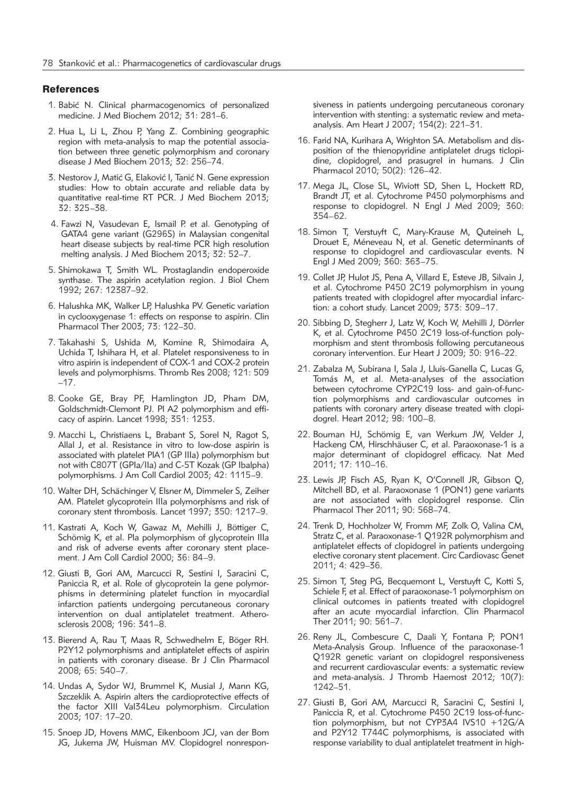### **References**

- 1. Babić N. Clinical pharmacogenomics of personalized medicine. J Med Biochem 2012; 31: 281–6.
- 2. Hua L, Li L, Zhou P, Yang Z. Combining geographic region with meta-analysis to map the potential association between three genetic polymorphism and coronary disease J Med Biochem 2013; 32: 256–74.
- 3. Nestorov J, Matić G, Elaković I, Tanić N. Gene expression studies: How to obtain accurate and reliable data by quantitative real-time RT PCR. J Med Biochem 2013; 32: 325–38.
- 4. Fawzi N, Vasudevan E, Ismail P. et al. Genotyping of GATA4 gene variant (G296S) in Malaysian congenital heart disease subjects by real-time PCR high resolution melting analysis. J Med Biochem 2013; 32: 52–7.
- 5. Shimokawa T, Smith WL. Prostaglandin endoperoxide synthase. The aspirin acetylation region. J Biol Chem 1992; 267: 12387–92.
- 6. Halushka MK, Walker LP, Halushka PV. Genetic variation in cyclooxygenase 1: effects on response to aspirin. Clin Pharmacol Ther 2003; 73: 122–30.
- 7. Takahashi S, Ushida M, Komine R, Shimodaira A, Uchida T, Ishihara H, et al. Platelet responsiveness to in vitro aspirin is independent of COX-1 and COX-2 protein levels and polymorphisms. Thromb Res 2008; 121: 509 –17.
- 8. Cooke GE, Bray PF, Hamlington JD, Pham DM, Goldschmidt-Clemont PJ. Pl A2 polymorphism and efficacy of aspirin. Lancet 1998; 351: 1253.
- 9. Macchi L, Christiaens L, Brabant S, Sorel N, Ragot S, Allal J, et al. Resistance in vitro to low-dose aspirin is associated with platelet PlA1 (GP IIIa) polymorphism but not with C807T (GPIa/IIa) and C-5T Kozak (GP Ibalpha) polymorphisms. J Am Coll Cardiol 2003; 42: 1115–9.
- 10. Walter DH, Schächinger V, Elsner M, Dimmeler S, Zeiher AM. Platelet glycoprotein IIIa polymorphisms and risk of coronary stent thrombosis. Lancet 1997; 350: 1217–9.
- 11. Kastrati A, Koch W, Gawaz M, Mehilli J, Böttiger C, Schömig K, et al. Pla polymorphism of glycoprotein IIIa and risk of adverse events after coronary stent placement. J Am Coll Cardiol 2000; 36: 84–9.
- 12. Giusti B, Gori AM, Marcucci R, Sestini I, Saracini C, Paniccia R, et al. Role of glycoprotein Ia gene polymorphisms in determining platelet function in myocardial infarction patients undergoing percutaneous coronary intervention on dual antiplatelet treatment. Atherosclerosis 2008; 196: 341–8.
- 13. Bierend A, Rau T, Maas R, Schwedhelm E, Böger RH. P2Y12 polymorphisms and antiplatelet effects of aspirin in patients with coronary disease. Br J Clin Pharmacol 2008; 65: 540–7.
- 14. Undas A, Sydor WJ, Brummel K, Musial J, Mann KG, Szczeklik A. Aspirin alters the cardioprotective effects of the factor XIII Val34Leu polymorphism. Circulation 2003; 107: 17–20.
- 15. Snoep JD, Hovens MMC, Eikenboom JCJ, van der Bom JG, Jukema JW, Huisman MV. Clopidogrel nonrespon-

siveness in patients undergoing percutaneous coronary intervention with stenting: a systematic review and metaanalysis. Am Heart J 2007; 154(2): 221–31.

- 16. Farid NA, Kurihara A, Wrighton SA. Metabolism and disposition of the thienopyridine antiplatelet drugs ticlopidine, clopidogrel, and prasugrel in humans. J Clin Pharmacol 2010; 50(2): 126–42.
- 17. Mega JL, Close SL, Wiviott SD, Shen L, Hockett RD, Brandt JT, et al. Cytochrome P450 polymorphisms and response to clopidogrel. N Engl J Med 2009; 360: 354–62.
- 18. Simon T, Verstuyft C, Mary-Krause M, Quteineh L, Drouet E, Méneveau N, et al. Genetic determinants of response to clopidogrel and cardiovascular events. N Engl J Med 2009; 360: 363–75.
- 19. Collet JP, Hulot JS, Pena A, Villard E, Esteve JB, Silvain J, et al. Cytochrome P450 2C19 polymorphism in young patients treated with clopidogrel after myocardial infarction: a cohort study. Lancet 2009; 373: 309–17.
- 20. Sibbing D, Stegherr J, Latz W, Koch W, Mehilli J, Dörrler K, et al. Cytochrome P450 2C19 loss-of-function polymorphism and stent thrombosis following percutaneous coronary intervention. Eur Heart J 2009; 30: 916–22.
- 21. Zabalza M, Subirana I, Sala J, Lluis-Ganella C, Lucas G, Tomás M, et al. Meta-analyses of the association between cytochrome CYP2C19 loss- and gain-of-function polymorphisms and cardiovascular outcomes in patients with coronary artery disease treated with clopidogrel. Heart 2012; 98: 100–8.
- 22. Bouman HJ, Schömig E, van Werkum JW, Velder J, Hackeng CM, Hirschhäuser C, et al. Paraoxonase-1 is a major determinant of clopidogrel efficacy. Nat Med 2011; 17: 110–16.
- 23. Lewis JP, Fisch AS, Ryan K, O'Connell JR, Gibson Q, Mitchell BD, et al. Paraoxonase 1 (PON1) gene variants are not associated with clopidogrel response. Clin Pharmacol Ther 2011; 90: 568–74.
- 24. Trenk D, Hochholzer W, Fromm MF, Zolk O, Valina CM, Stratz C, et al. Paraoxonase-1 Q192R polymorphism and antiplatelet effects of clopidogrel in patients undergoing elective coronary stent placement. Circ Cardiovasc Genet 2011; 4: 429–36.
- 25. Simon T, Steg PG, Becquemont L, Verstuyft C, Kotti S, Schiele F, et al. Effect of paraoxonase-1 polymorphism on clinical outcomes in patients treated with clopidogrel after an acute myocardial infarction. Clin Pharmacol Ther 2011; 90: 561–7.
- 26. Reny JL, Combescure C, Daali Y, Fontana P; PON1 Meta-Analysis Group. Influence of the paraoxonase-1 Q192R genetic variant on clopidogrel responsiveness and recurrent cardiovascular events: a systematic review and meta-analysis. J Thromb Haemost 2012; 10(7): 1242–51.
- 27. Giusti B, Gori AM, Marcucci R, Saracini C, Sestini I, Paniccia R, et al. Cytochrome P450 2C19 loss-of-function polymorphism, but not CYP3A4 IVS10 +12G/A and P2Y12 T744C polymorphisms, is associated with response variability to dual antiplatelet treatment in high-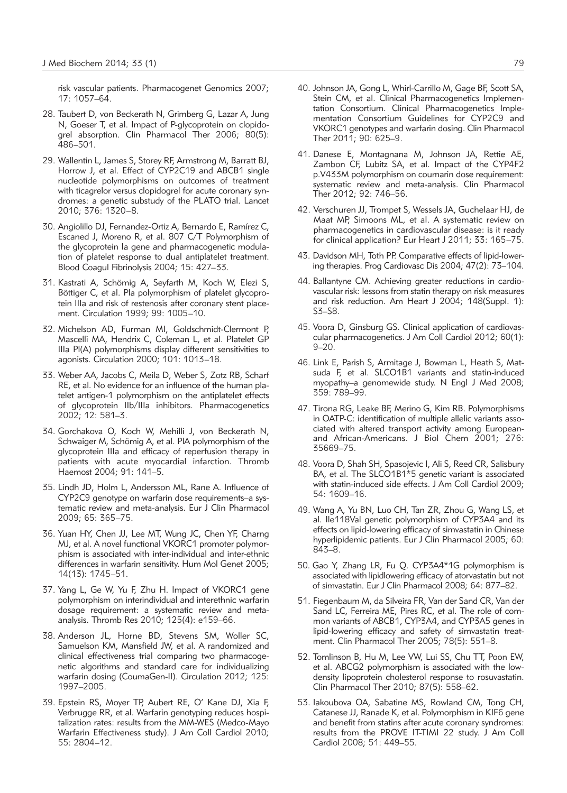risk vascular patients. Pharmacogenet Genomics 2007; 17: 1057–64.

- 28. Taubert D, von Beckerath N, Grimberg G, Lazar A, Jung N, Goeser T, et al. Impact of P-glycoprotein on clopidogrel absorption. Clin Pharmacol Ther 2006; 80(5): 486–501.
- 29. Wallentin L, James S, Storey RF, Armstrong M, Barratt BJ, Horrow J, et al. Effect of CYP2C19 and ABCB1 single nucleotide polymorphisms on outcomes of treatment with ticagrelor versus clopidogrel for acute coronary syndromes: a genetic substudy of the PLATO trial. Lancet 2010; 376: 1320–8.
- 30. Angiolillo DJ, Fernandez-Ortiz A, Bernardo E, Ramírez C, Escaned J, Moreno R, et al. 807 C/T Polymorphism of the glycoprotein Ia gene and pharmacogenetic modulation of platelet response to dual antiplatelet treatment. Blood Coagul Fibrinolysis 2004; 15: 427–33.
- 31. Kastrati A, Schömig A, Seyfarth M, Koch W, Elezi S, Böttiger C, et al. Pla polymorphism of platelet glycoprotein IIIa and risk of restenosis after coronary stent placement. Circulation 1999; 99: 1005–10.
- 32. Michelson AD, Furman MI, Goldschmidt-Clermont P, Mascelli MA, Hendrix C, Coleman L, et al. Platelet GP IIIa Pl(A) polymorphisms display different sensitivities to agonists. Circulation 2000; 101: 1013–18.
- 33. Weber AA, Jacobs C, Meila D, Weber S, Zotz RB, Scharf RE, et al. No evidence for an influence of the human platelet antigen-1 polymorphism on the antiplatelet effects of glycoprotein IIb/IIIa inhibitors. Pharmacogenetics 2002; 12: 581–3.
- 34. Gorchakova O, Koch W, Mehilli J, von Beckerath N, Schwaiger M, Schömig A, et al. PlA polymorphism of the glycoprotein IIIa and efficacy of reperfusion therapy in patients with acute myocardial infarction. Thromb Haemost 2004; 91: 141–5.
- 35. Lindh JD, Holm L, Andersson ML, Rane A. Influence of CYP2C9 genotype on warfarin dose requirements–a systematic review and meta-analysis. Eur J Clin Pharmacol 2009; 65: 365–75.
- 36. Yuan HY, Chen JJ, Lee MT, Wung JC, Chen YF, Charng MJ, et al. A novel functional VKORC1 promoter polymorphism is associated with inter-individual and inter-ethnic differences in warfarin sensitivity. Hum Mol Genet 2005; 14(13): 1745–51.
- 37. Yang L, Ge W, Yu F, Zhu H. Impact of VKORC1 gene polymorphism on interindividual and interethnic warfarin dosage requirement: a systematic review and metaanalysis. Thromb Res 2010; 125(4): e159–66.
- 38. Anderson JL, Horne BD, Stevens SM, Woller SC, Samuelson KM, Mansfield JW, et al. A randomized and clinical effectiveness trial comparing two pharmacogenetic algorithms and standard care for individualizing warfarin dosing (CoumaGen-II). Circulation 2012; 125: 1997–2005.
- 39. Epstein RS, Moyer TP, Aubert RE, O' Kane DJ, Xia F, Verbrugge RR, et al. Warfarin genotyping reduces hospitalization rates: results from the MM-WES (Medco-Mayo Warfarin Effectiveness study). J Am Coll Cardiol 2010; 55: 2804–12.
- 40. Johnson JA, Gong L, Whirl-Carrillo M, Gage BF, Scott SA, Stein CM, et al. Clinical Pharmacogenetics Implementation Consortium. Clinical Pharmacogenetics Implementation Consortium Guidelines for CYP2C9 and VKORC1 genotypes and warfarin dosing. Clin Pharmacol Ther 2011; 90: 625–9.
- 41. Danese E, Montagnana M, Johnson JA, Rettie AE, Zambon CF, Lubitz SA, et al. Impact of the CYP4F2 p.V433M polymorphism on coumarin dose requirement: systematic review and meta-analysis. Clin Pharmacol Ther 2012; 92: 746–56.
- 42. Verschuren JJ, Trompet S, Wessels JA, Guchelaar HJ, de Maat MP, Simoons ML, et al. A systematic review on pharmacogenetics in cardiovascular disease: is it ready for clinical application? Eur Heart J 2011; 33: 165–75.
- 43. Davidson MH, Toth PP. Comparative effects of lipid-lowering therapies. Prog Cardiovasc Dis 2004; 47(2): 73–104.
- 44. Ballantyne CM. Achieving greater reductions in cardiovascular risk: lessons from statin therapy on risk measures and risk reduction. Am Heart J 2004; 148(Suppl. 1): S3–S8.
- 45. Voora D, Ginsburg GS. Clinical application of cardiovascular pharmacogenetics. J Am Coll Cardiol 2012; 60(1):  $9 - 20.$
- 46. Link E, Parish S, Armitage J, Bowman L, Heath S, Matsuda F, et al. SLCO1B1 variants and statin-induced myopathy–a genomewide study. N Engl J Med 2008; 359: 789–99.
- 47. Tirona RG, Leake BF, Merino G, Kim RB. Polymorphisms in OATP-C: identification of multiple allelic variants associated with altered transport activity among Europeanand African-Americans. J Biol Chem 2001; 276: 35669–75.
- 48. Voora D, Shah SH, Spasojevic I, Ali S, Reed CR, Salisbury BA, et al. The SLCO1B1\*5 genetic variant is associated with statin-induced side effects. J Am Coll Cardiol 2009; 54: 1609–16.
- 49. Wang A, Yu BN, Luo CH, Tan ZR, Zhou G, Wang LS, et al. Ile118Val genetic polymorphism of CYP3A4 and its effects on lipid-lowering efficacy of simvastatin in Chinese hyperlipidemic patients. Eur J Clin Pharmacol 2005; 60: 843–8.
- 50. Gao Y, Zhang LR, Fu Q. CYP3A4\*1G polymorphism is associated with lipidlowering efficacy of atorvastatin but not of simvastatin. Eur J Clin Pharmacol 2008; 64: 877–82.
- 51. Fiegenbaum M, da Silveira FR, Van der Sand CR, Van der Sand LC, Ferreira ME, Pires RC, et al. The role of common variants of ABCB1, CYP3A4, and CYP3A5 genes in lipid-lowering efficacy and safety of simvastatin treatment. Clin Pharmacol Ther 2005; 78(5): 551–8.
- 52. Tomlinson B, Hu M, Lee VW, Lui SS, Chu TT, Poon EW, et al. ABCG2 polymorphism is associated with the lowdensity lipoprotein cholesterol response to rosuvastatin. Clin Pharmacol Ther 2010; 87(5): 558–62.
- 53. Iakoubova OA, Sabatine MS, Rowland CM, Tong CH, Catanese JJ, Ranade K, et al. Polymorphism in KIF6 gene and benefit from statins after acute coronary syndromes: results from the PROVE IT-TIMI 22 study. J Am Coll Cardiol 2008; 51: 449–55.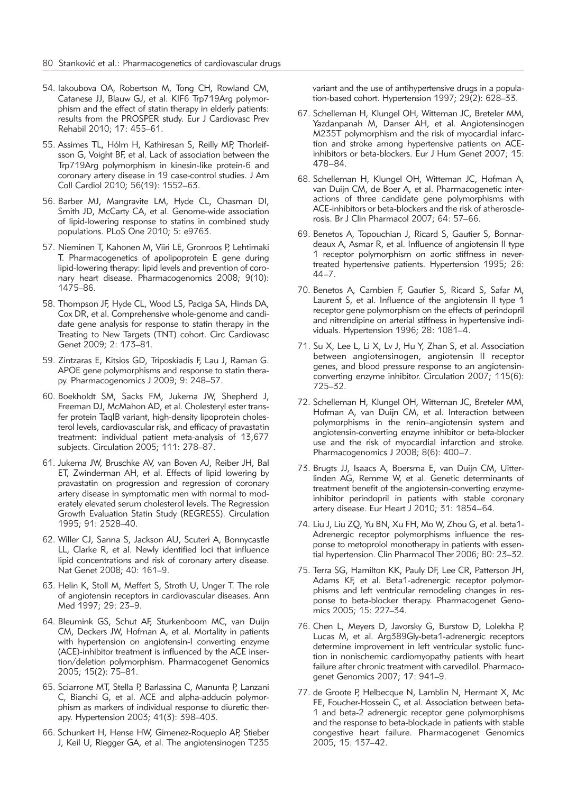- 54. Iakoubova OA, Robertson M, Tong CH, Rowland CM, Catanese JJ, Blauw GJ, et al. KIF6 Trp719Arg polymorphism and the effect of statin therapy in elderly patients: results from the PROSPER study. Eur J Cardiovasc Prev Rehabil 2010; 17: 455–61.
- 55. Assimes TL, Hólm H, Kathiresan S, Reilly MP, Thorleifsson G, Voight BF, et al. Lack of association between the Trp719Arg polymorphism in kinesin-like protein-6 and coronary artery disease in 19 case-control studies. J Am Coll Cardiol 2010; 56(19): 1552–63.
- 56. Barber MJ, Mangravite LM, Hyde CL, Chasman DI, Smith JD, McCarty CA, et al. Genome-wide association of lipid-lowering response to statins in combined study populations. PLoS One 2010; 5: e9763.
- 57. Nieminen T, Kahonen M, Viiri LE, Gronroos P, Lehtimaki T. Pharmacogenetics of apolipoprotein E gene during lipid-lowering therapy: lipid levels and prevention of coronary heart disease. Pharmacogenomics 2008; 9(10): 1475–86.
- 58. Thompson JF, Hyde CL, Wood LS, Paciga SA, Hinds DA, Cox DR, et al. Comprehensive whole-genome and candidate gene analysis for response to statin therapy in the Treating to New Targets (TNT) cohort. Circ Cardiovasc Genet 2009; 2: 173–81.
- 59. Zintzaras E, Kitsios GD, Triposkiadis F, Lau J, Raman G. APOE gene polymorphisms and response to statin therapy. Pharmacogenomics J 2009; 9: 248–57.
- 60. Boekholdt SM, Sacks FM, Jukema JW, Shepherd J, Freeman DJ, McMahon AD, et al. Cholesteryl ester transfer protein TaqIB variant, high-density lipoprotein cholesterol levels, cardiovascular risk, and efficacy of pravastatin treatment: individual patient meta-analysis of 13,677 subjects. Circulation 2005; 111: 278–87.
- 61. Jukema JW, Bruschke AV, van Boven AJ, Reiber JH, Bal ET, Zwinderman AH, et al. Effects of lipid lowering by pravastatin on progression and regression of coronary artery disease in symptomatic men with normal to moderately elevated serum cholesterol levels. The Regression Growth Evaluation Statin Study (REGRESS). Circulation 1995; 91: 2528–40.
- 62. Willer CJ, Sanna S, Jackson AU, Scuteri A, Bonnycastle LL, Clarke R, et al. Newly identified loci that influence lipid concentrations and risk of coronary artery disease. Nat Genet 2008; 40: 161–9.
- 63. Helin K, Stoll M, Meffert S, Stroth U, Unger T. The role of angiotensin receptors in cardiovascular diseases. Ann Med 1997; 29: 23–9.
- 64. Bleumink GS, Schut AF, Sturkenboom MC, van Duijn CM, Deckers JW, Hofman A, et al. Mortality in patients with hypertension on angiotensin-I converting enzyme (ACE)-inhibitor treatment is influenced by the ACE insertion/deletion polymorphism. Pharmacogenet Genomics 2005; 15(2): 75–81.
- 65. Sciarrone MT, Stella P, Barlassina C, Manunta P, Lanzani C, Bianchi G, et al. ACE and alpha-adducin polymorphism as markers of individual response to diuretic therapy. Hypertension 2003; 41(3): 398–403.
- 66. Schunkert H, Hense HW, Gimenez-Roqueplo AP, Stieber J, Keil U, Riegger GA, et al. The angiotensinogen T235

variant and the use of antihypertensive drugs in a population-based cohort. Hypertension 1997; 29(2): 628–33.

- 67. Schelleman H, Klungel OH, Witteman JC, Breteler MM, Yazdanpanah M, Danser AH, et al. Angiotensinogen M235T polymorphism and the risk of myocardial infarction and stroke among hypertensive patients on ACEinhibitors or beta-blockers. Eur J Hum Genet 2007; 15: 478–84.
- 68. Schelleman H, Klungel OH, Witteman JC, Hofman A, van Duijn CM, de Boer A, et al. Pharmacogenetic interactions of three candidate gene polymorphisms with ACE-inhibitors or beta-blockers and the risk of atherosclerosis. Br J Clin Pharmacol 2007; 64: 57–66.
- 69. Benetos A, Topouchian J, Ricard S, Gautier S, Bonnar deaux A, Asmar R, et al. Influence of angiotensin II type 1 receptor polymorphism on aortic stiffness in nevertreated hypertensive patients. Hypertension 1995; 26: 44–7.
- 70. Benetos A, Cambien F, Gautier S, Ricard S, Safar M, Laurent S, et al. Influence of the angiotensin II type 1 receptor gene polymorphism on the effects of perindopril and nitrendipine on arterial stiffness in hypertensive individuals. Hypertension 1996; 28: 1081–4.
- 71. Su X, Lee L, Li X, Lv J, Hu Y, Zhan S, et al. Association between angiotensinogen, angiotensin II receptor genes, and blood pressure response to an angiotensinconverting enzyme inhibitor. Circulation 2007; 115(6): 725–32.
- 72. Schelleman H, Klungel OH, Witteman JC, Breteler MM, Hofman A, van Duijn CM, et al. Interaction between poly morphisms in the renin–angiotensin system and angiotensin-converting enzyme inhibitor or beta-blocker use and the risk of myocardial infarction and stroke. Pharmacogenomics J 2008; 8(6): 400–7.
- 73. Brugts JJ, Isaacs A, Boersma E, van Duijn CM, Uitter linden AG, Remme W, et al. Genetic determinants of treatment benefit of the angiotensin-converting enzymeinhibitor perindopril in patients with stable coronary artery disease. Eur Heart J 2010; 31: 1854–64.
- 74. Liu J, Liu ZQ, Yu BN, Xu FH, Mo W, Zhou G, et al. beta1- Adrenergic receptor polymorphisms influence the response to metoprolol monotherapy in patients with essential hypertension. Clin Pharmacol Ther 2006; 80: 23–32.
- 75. Terra SG, Hamilton KK, Pauly DF, Lee CR, Patterson JH, Adams KF, et al. Beta1-adrenergic receptor polymorphisms and left ventricular remodeling changes in response to beta-blocker therapy. Pharmacogenet Genomics 2005; 15: 227–34.
- 76. Chen L, Meyers D, Javorsky G, Burstow D, Lolekha P, Lucas M, et al. Arg389Gly-beta1-adrenergic receptors determine improvement in left ventricular systolic function in nonischemic cardiomyopathy patients with heart failure after chronic treatment with carvedilol. Pharmacogenet Genomics 2007; 17: 941–9.
- 77. de Groote P, Helbecque N, Lamblin N, Hermant X, Mc FE, Foucher-Hossein C, et al. Association between beta-1 and beta-2 adrenergic receptor gene polymorphisms and the response to beta-blockade in patients with stable congestive heart failure. Pharmacogenet Genomics 2005; 15: 137–42.